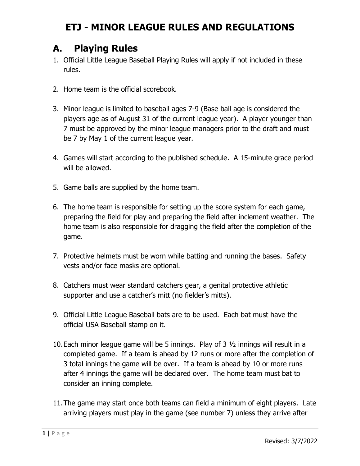### **A. Playing Rules**

- 1. Official Little League Baseball Playing Rules will apply if not included in these rules.
- 2. Home team is the official scorebook.
- 3. Minor league is limited to baseball ages 7-9 (Base ball age is considered the players age as of August 31 of the current league year). A player younger than 7 must be approved by the minor league managers prior to the draft and must be 7 by May 1 of the current league year.
- 4. Games will start according to the published schedule. A 15-minute grace period will be allowed.
- 5. Game balls are supplied by the home team.
- 6. The home team is responsible for setting up the score system for each game, preparing the field for play and preparing the field after inclement weather. The home team is also responsible for dragging the field after the completion of the game.
- 7. Protective helmets must be worn while batting and running the bases. Safety vests and/or face masks are optional.
- 8. Catchers must wear standard catchers gear, a genital protective athletic supporter and use a catcher's mitt (no fielder's mitts).
- 9. Official Little League Baseball bats are to be used. Each bat must have the official USA Baseball stamp on it.
- 10.Each minor league game will be 5 innings. Play of 3 ½ innings will result in a completed game. If a team is ahead by 12 runs or more after the completion of 3 total innings the game will be over. If a team is ahead by 10 or more runs after 4 innings the game will be declared over. The home team must bat to consider an inning complete.
- 11.The game may start once both teams can field a minimum of eight players. Late arriving players must play in the game (see number 7) unless they arrive after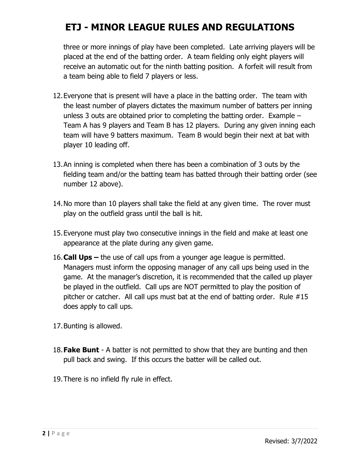three or more innings of play have been completed. Late arriving players will be placed at the end of the batting order. A team fielding only eight players will receive an automatic out for the ninth batting position. A forfeit will result from a team being able to field 7 players or less.

- 12.Everyone that is present will have a place in the batting order. The team with the least number of players dictates the maximum number of batters per inning unless 3 outs are obtained prior to completing the batting order. Example – Team A has 9 players and Team B has 12 players. During any given inning each team will have 9 batters maximum. Team B would begin their next at bat with player 10 leading off.
- 13.An inning is completed when there has been a combination of 3 outs by the fielding team and/or the batting team has batted through their batting order (see number 12 above).
- 14.No more than 10 players shall take the field at any given time. The rover must play on the outfield grass until the ball is hit.
- 15.Everyone must play two consecutive innings in the field and make at least one appearance at the plate during any given game.
- 16.**Call Ups –** the use of call ups from a younger age league is permitted. Managers must inform the opposing manager of any call ups being used in the game. At the manager's discretion, it is recommended that the called up player be played in the outfield. Call ups are NOT permitted to play the position of pitcher or catcher. All call ups must bat at the end of batting order. Rule #15 does apply to call ups.
- 17.Bunting is allowed.
- 18.**Fake Bunt** A batter is not permitted to show that they are bunting and then pull back and swing. If this occurs the batter will be called out.
- 19.There is no infield fly rule in effect.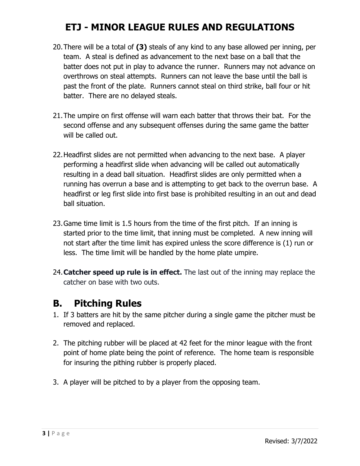- 20.There will be a total of **(3)** steals of any kind to any base allowed per inning, per team. A steal is defined as advancement to the next base on a ball that the batter does not put in play to advance the runner. Runners may not advance on overthrows on steal attempts. Runners can not leave the base until the ball is past the front of the plate. Runners cannot steal on third strike, ball four or hit batter. There are no delayed steals.
- 21.The umpire on first offense will warn each batter that throws their bat. For the second offense and any subsequent offenses during the same game the batter will be called out.
- 22.Headfirst slides are not permitted when advancing to the next base. A player performing a headfirst slide when advancing will be called out automatically resulting in a dead ball situation. Headfirst slides are only permitted when a running has overrun a base and is attempting to get back to the overrun base. A headfirst or leg first slide into first base is prohibited resulting in an out and dead ball situation.
- 23.Game time limit is 1.5 hours from the time of the first pitch. If an inning is started prior to the time limit, that inning must be completed. A new inning will not start after the time limit has expired unless the score difference is (1) run or less. The time limit will be handled by the home plate umpire.
- 24.**Catcher speed up rule is in effect.** The last out of the inning may replace the catcher on base with two outs.

### **B. Pitching Rules**

- 1. If 3 batters are hit by the same pitcher during a single game the pitcher must be removed and replaced.
- 2. The pitching rubber will be placed at 42 feet for the minor league with the front point of home plate being the point of reference. The home team is responsible for insuring the pithing rubber is properly placed.
- 3. A player will be pitched to by a player from the opposing team.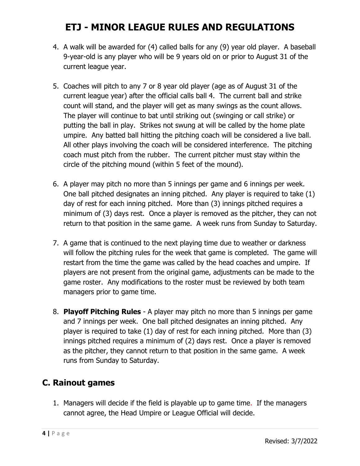- 4. A walk will be awarded for (4) called balls for any (9) year old player. A baseball 9-year-old is any player who will be 9 years old on or prior to August 31 of the current league year.
- 5. Coaches will pitch to any 7 or 8 year old player (age as of August 31 of the current league year) after the official calls ball 4. The current ball and strike count will stand, and the player will get as many swings as the count allows. The player will continue to bat until striking out (swinging or call strike) or putting the ball in play. Strikes not swung at will be called by the home plate umpire. Any batted ball hitting the pitching coach will be considered a live ball. All other plays involving the coach will be considered interference. The pitching coach must pitch from the rubber. The current pitcher must stay within the circle of the pitching mound (within 5 feet of the mound).
- 6. A player may pitch no more than 5 innings per game and 6 innings per week. One ball pitched designates an inning pitched. Any player is required to take (1) day of rest for each inning pitched. More than (3) innings pitched requires a minimum of (3) days rest. Once a player is removed as the pitcher, they can not return to that position in the same game. A week runs from Sunday to Saturday.
- 7. A game that is continued to the next playing time due to weather or darkness will follow the pitching rules for the week that game is completed. The game will restart from the time the game was called by the head coaches and umpire. If players are not present from the original game, adjustments can be made to the game roster. Any modifications to the roster must be reviewed by both team managers prior to game time.
- 8. **Playoff Pitching Rules**  A player may pitch no more than 5 innings per game and 7 innings per week. One ball pitched designates an inning pitched. Any player is required to take (1) day of rest for each inning pitched. More than (3) innings pitched requires a minimum of (2) days rest. Once a player is removed as the pitcher, they cannot return to that position in the same game. A week runs from Sunday to Saturday.

### **C. Rainout games**

1. Managers will decide if the field is playable up to game time. If the managers cannot agree, the Head Umpire or League Official will decide.